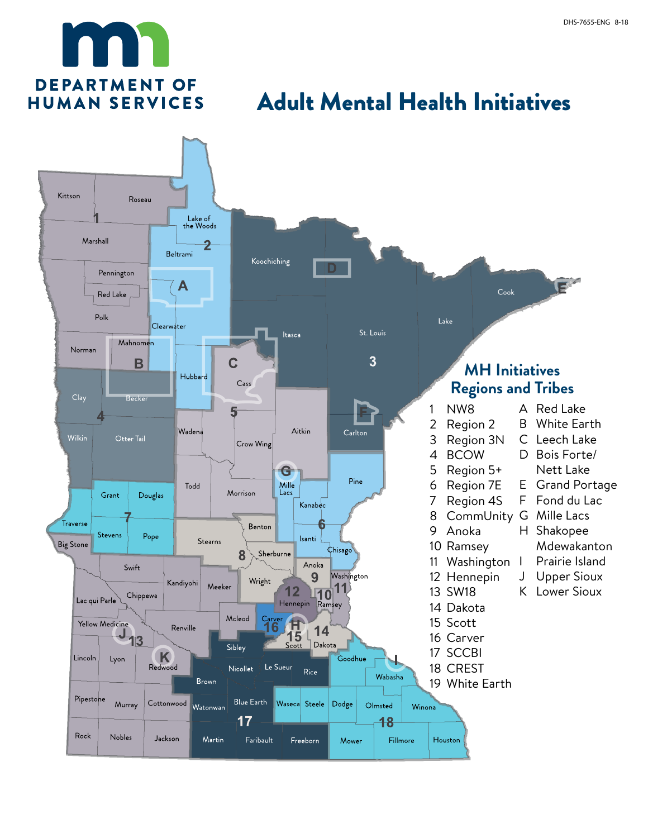

## Adult Mental Health Initiatives

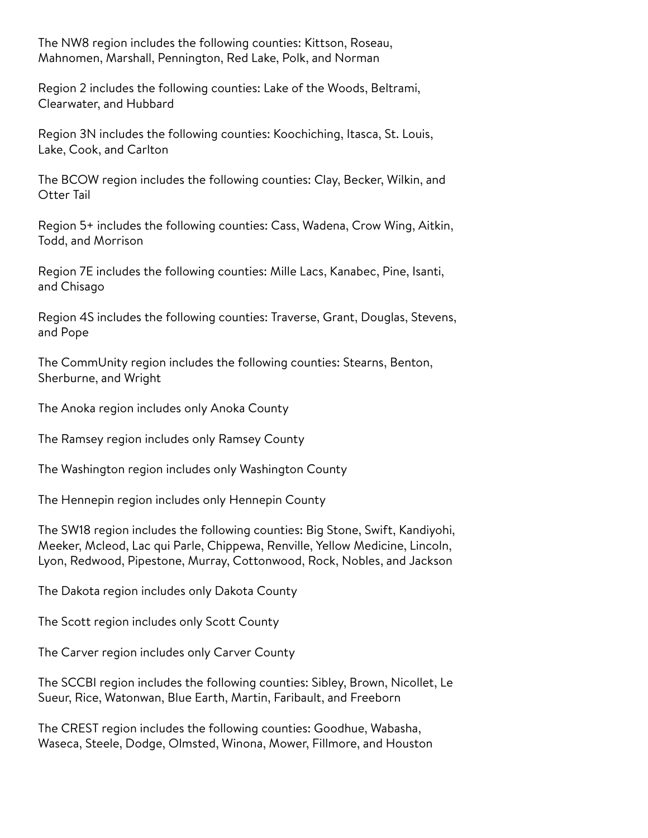The NW8 region includes the following counties: Kittson, Roseau, Mahnomen, Marshall, Pennington, Red Lake, Polk, and Norman

Region 2 includes the following counties: Lake of the Woods, Beltrami, Clearwater, and Hubbard

Region 3N includes the following counties: Koochiching, Itasca, St. Louis, Lake, Cook, and Carlton

The BCOW region includes the following counties: Clay, Becker, Wilkin, and Otter Tail

Region 5+ includes the following counties: Cass, Wadena, Crow Wing, Aitkin, Todd, and Morrison

Region 7E includes the following counties: Mille Lacs, Kanabec, Pine, Isanti, and Chisago

Region 4S includes the following counties: Traverse, Grant, Douglas, Stevens, and Pope

The CommUnity region includes the following counties: Stearns, Benton, Sherburne, and Wright

The Anoka region includes only Anoka County

The Ramsey region includes only Ramsey County

The Washington region includes only Washington County

The Hennepin region includes only Hennepin County

The SW18 region includes the following counties: Big Stone, Swift, Kandiyohi, Meeker, Mcleod, Lac qui Parle, Chippewa, Renville, Yellow Medicine, Lincoln, Lyon, Redwood, Pipestone, Murray, Cottonwood, Rock, Nobles, and Jackson

The Dakota region includes only Dakota County

The Scott region includes only Scott County

The Carver region includes only Carver County

The SCCBI region includes the following counties: Sibley, Brown, Nicollet, Le Sueur, Rice, Watonwan, Blue Earth, Martin, Faribault, and Freeborn

The CREST region includes the following counties: Goodhue, Wabasha, Waseca, Steele, Dodge, Olmsted, Winona, Mower, Fillmore, and Houston